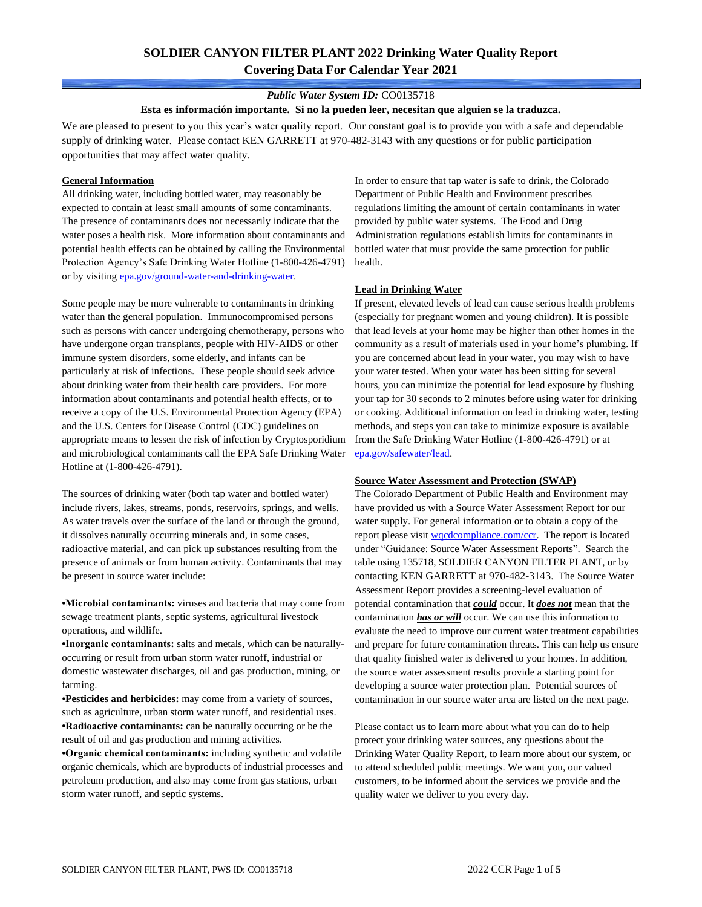## **SOLDIER CANYON FILTER PLANT 2022 Drinking Water Quality Report Covering Data For Calendar Year 2021**

#### *Public Water System ID:* CO0135718

#### **Esta es información importante. Si no la pueden leer, necesitan que alguien se la traduzca.**

We are pleased to present to you this year's water quality report. Our constant goal is to provide you with a safe and dependable supply of drinking water. Please contact KEN GARRETT at 970-482-3143 with any questions or for public participation opportunities that may affect water quality.

#### **General Information**

All drinking water, including bottled water, may reasonably be expected to contain at least small amounts of some contaminants. The presence of contaminants does not necessarily indicate that the water poses a health risk. More information about contaminants and potential health effects can be obtained by calling the Environmental Protection Agency's Safe Drinking Water Hotline (1-800-426-4791) or by visiting [epa.gov/ground-water-and-drinking-water.](https://www.epa.gov/ground-water-and-drinking-water)

Some people may be more vulnerable to contaminants in drinking water than the general population. Immunocompromised persons such as persons with cancer undergoing chemotherapy, persons who have undergone organ transplants, people with HIV-AIDS or other immune system disorders, some elderly, and infants can be particularly at risk of infections. These people should seek advice about drinking water from their health care providers. For more information about contaminants and potential health effects, or to receive a copy of the U.S. Environmental Protection Agency (EPA) and the U.S. Centers for Disease Control (CDC) guidelines on appropriate means to lessen the risk of infection by Cryptosporidium and microbiological contaminants call the EPA Safe Drinking Water Hotline at (1-800-426-4791).

The sources of drinking water (both tap water and bottled water) include rivers, lakes, streams, ponds, reservoirs, springs, and wells. As water travels over the surface of the land or through the ground, it dissolves naturally occurring minerals and, in some cases, radioactive material, and can pick up substances resulting from the presence of animals or from human activity. Contaminants that may be present in source water include:

**•Microbial contaminants:** viruses and bacteria that may come from sewage treatment plants, septic systems, agricultural livestock operations, and wildlife.

**•Inorganic contaminants:** salts and metals, which can be naturallyoccurring or result from urban storm water runoff, industrial or domestic wastewater discharges, oil and gas production, mining, or farming.

•**Pesticides and herbicides:** may come from a variety of sources, such as agriculture, urban storm water runoff, and residential uses. **•Radioactive contaminants:** can be naturally occurring or be the result of oil and gas production and mining activities.

**•Organic chemical contaminants:** including synthetic and volatile organic chemicals, which are byproducts of industrial processes and petroleum production, and also may come from gas stations, urban storm water runoff, and septic systems.

In order to ensure that tap water is safe to drink, the Colorado Department of Public Health and Environment prescribes regulations limiting the amount of certain contaminants in water provided by public water systems. The Food and Drug Administration regulations establish limits for contaminants in bottled water that must provide the same protection for public health.

#### **Lead in Drinking Water**

If present, elevated levels of lead can cause serious health problems (especially for pregnant women and young children). It is possible that lead levels at your home may be higher than other homes in the community as a result of materials used in your home's plumbing. If you are concerned about lead in your water, you may wish to have your water tested. When your water has been sitting for several hours, you can minimize the potential for lead exposure by flushing your tap for 30 seconds to 2 minutes before using water for drinking or cooking. Additional information on lead in drinking water, testing methods, and steps you can take to minimize exposure is available from the Safe Drinking Water Hotline (1-800-426-4791) or at [epa.gov/safewater/lead.](http://www.epa.gov/safewater/lead) 

#### **Source Water Assessment and Protection (SWAP)**

The Colorado Department of Public Health and Environment may have provided us with a Source Water Assessment Report for our water supply. For general information or to obtain a copy of the report please visit [wqcdcompliance.com/ccr.](https://wqcdcompliance.com/ccr) The report is located under "Guidance: Source Water Assessment Reports". Search the table using 135718, SOLDIER CANYON FILTER PLANT, or by contacting KEN GARRETT at 970-482-3143. The Source Water Assessment Report provides a screening-level evaluation of potential contamination that *could* occur. It *does not* mean that the contamination *has or will* occur. We can use this information to evaluate the need to improve our current water treatment capabilities and prepare for future contamination threats. This can help us ensure that quality finished water is delivered to your homes. In addition, the source water assessment results provide a starting point for developing a source water protection plan. Potential sources of contamination in our source water area are listed on the next page.

Please contact us to learn more about what you can do to help protect your drinking water sources, any questions about the Drinking Water Quality Report, to learn more about our system, or to attend scheduled public meetings. We want you, our valued customers, to be informed about the services we provide and the quality water we deliver to you every day.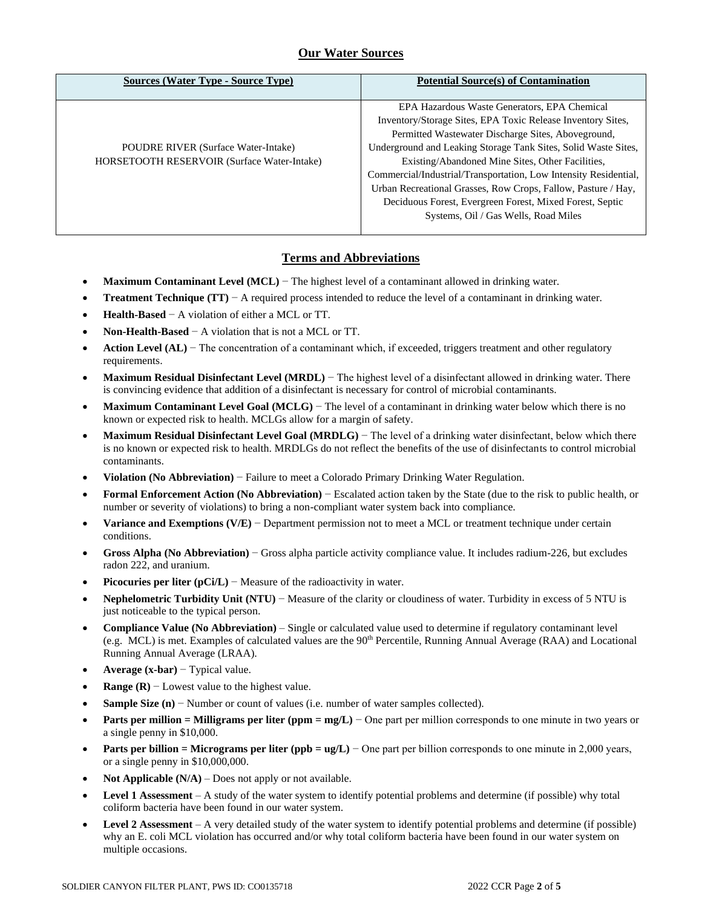### **Our Water Sources**

| <b>Sources (Water Type - Source Type)</b>   | <b>Potential Source(s) of Contamination</b>                      |
|---------------------------------------------|------------------------------------------------------------------|
|                                             | EPA Hazardous Waste Generators, EPA Chemical                     |
|                                             | Inventory/Storage Sites, EPA Toxic Release Inventory Sites,      |
|                                             | Permitted Wastewater Discharge Sites, Aboveground,               |
| <b>POUDRE RIVER (Surface Water-Intake)</b>  | Underground and Leaking Storage Tank Sites, Solid Waste Sites,   |
| HORSETOOTH RESERVOIR (Surface Water-Intake) | Existing/Abandoned Mine Sites, Other Facilities,                 |
|                                             | Commercial/Industrial/Transportation, Low Intensity Residential, |
|                                             | Urban Recreational Grasses, Row Crops, Fallow, Pasture / Hay,    |
|                                             | Deciduous Forest, Evergreen Forest, Mixed Forest, Septic         |
|                                             | Systems, Oil / Gas Wells, Road Miles                             |
|                                             |                                                                  |

### **Terms and Abbreviations**

- **Maximum Contaminant Level (MCL)** − The highest level of a contaminant allowed in drinking water.
- **Treatment Technique (TT)**  $A$  required process intended to reduce the level of a contaminant in drinking water.
- **Health-Based** − A violation of either a MCL or TT.
- **Non-Health-Based** − A violation that is not a MCL or TT.
- **Action Level (AL)** − The concentration of a contaminant which, if exceeded, triggers treatment and other regulatory requirements.
- **Maximum Residual Disinfectant Level (MRDL)** − The highest level of a disinfectant allowed in drinking water. There is convincing evidence that addition of a disinfectant is necessary for control of microbial contaminants.
- **Maximum Contaminant Level Goal (MCLG)** − The level of a contaminant in drinking water below which there is no known or expected risk to health. MCLGs allow for a margin of safety.
- **Maximum Residual Disinfectant Level Goal (MRDLG)** − The level of a drinking water disinfectant, below which there is no known or expected risk to health. MRDLGs do not reflect the benefits of the use of disinfectants to control microbial contaminants.
- **Violation (No Abbreviation)** − Failure to meet a Colorado Primary Drinking Water Regulation.
- **Formal Enforcement Action (No Abbreviation)** − Escalated action taken by the State (due to the risk to public health, or number or severity of violations) to bring a non-compliant water system back into compliance.
- **Variance and Exemptions (V/E)** − Department permission not to meet a MCL or treatment technique under certain conditions.
- **Gross Alpha (No Abbreviation)** − Gross alpha particle activity compliance value. It includes radium-226, but excludes radon 222, and uranium.
- **Picocuries per liter (pCi/L)** − Measure of the radioactivity in water.
- **Nephelometric Turbidity Unit (NTU)** − Measure of the clarity or cloudiness of water. Turbidity in excess of 5 NTU is just noticeable to the typical person.
- **Compliance Value (No Abbreviation)** Single or calculated value used to determine if regulatory contaminant level (e.g. MCL) is met. Examples of calculated values are the 90<sup>th</sup> Percentile, Running Annual Average (RAA) and Locational Running Annual Average (LRAA).
- **Average (x-bar)** − Typical value.
- **Range (R)**  $-$  Lowest value to the highest value.
- **Sample Size (n)** − Number or count of values (i.e. number of water samples collected).
- **Parts per million = Milligrams per liter (ppm = mg/L)** − One part per million corresponds to one minute in two years or a single penny in \$10,000.
- **Parts per billion = Micrograms per liter (ppb = ug/L)** − One part per billion corresponds to one minute in 2,000 years, or a single penny in \$10,000,000.
- **Not Applicable**  $(N/A)$  Does not apply or not available.
- **Level 1 Assessment** A study of the water system to identify potential problems and determine (if possible) why total coliform bacteria have been found in our water system.
- **Level 2 Assessment** A very detailed study of the water system to identify potential problems and determine (if possible) why an E. coli MCL violation has occurred and/or why total coliform bacteria have been found in our water system on multiple occasions.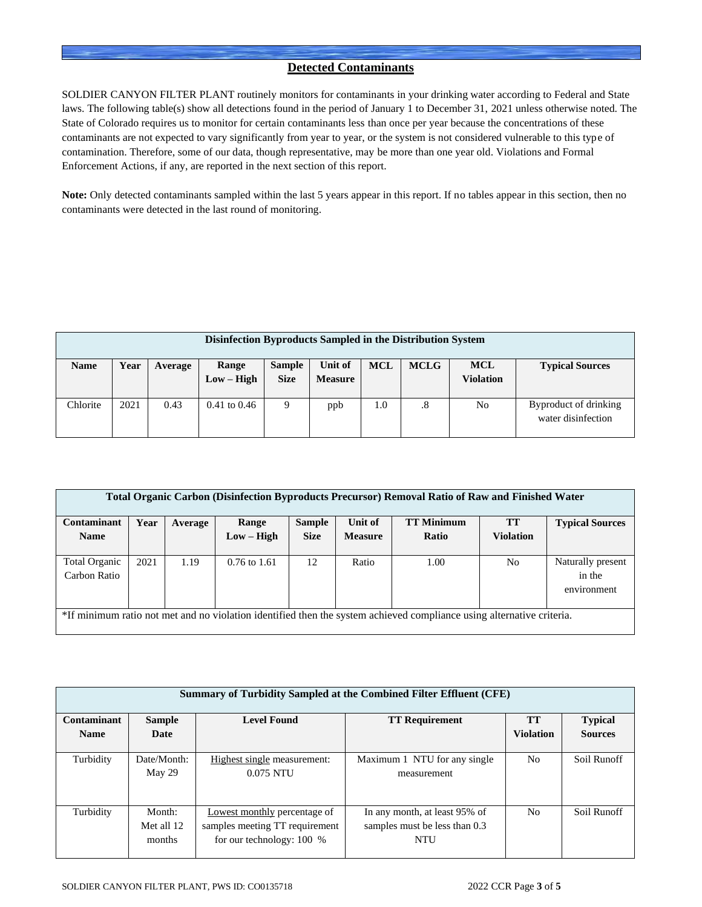### **Detected Contaminants**

SOLDIER CANYON FILTER PLANT routinely monitors for contaminants in your drinking water according to Federal and State laws. The following table(s) show all detections found in the period of January 1 to December 31, 2021 unless otherwise noted. The State of Colorado requires us to monitor for certain contaminants less than once per year because the concentrations of these contaminants are not expected to vary significantly from year to year, or the system is not considered vulnerable to this type of contamination. Therefore, some of our data, though representative, may be more than one year old. Violations and Formal Enforcement Actions, if any, are reported in the next section of this report.

**Note:** Only detected contaminants sampled within the last 5 years appear in this report. If no tables appear in this section, then no contaminants were detected in the last round of monitoring.

| Disinfection Byproducts Sampled in the Distribution System |      |         |                       |                              |                           |            |             |                                |                                             |
|------------------------------------------------------------|------|---------|-----------------------|------------------------------|---------------------------|------------|-------------|--------------------------------|---------------------------------------------|
| <b>Name</b>                                                | Year | Average | Range<br>$Low - High$ | <b>Sample</b><br><b>Size</b> | Unit of<br><b>Measure</b> | <b>MCL</b> | <b>MCLG</b> | <b>MCL</b><br><b>Violation</b> | <b>Typical Sources</b>                      |
| Chlorite                                                   | 2021 | 0.43    | $0.41$ to $0.46$      | 9                            | ppb                       | 1.0        | .8          | No                             | Byproduct of drinking<br>water disinfection |

| <b>Total Organic Carbon (Disinfection Byproducts Precursor) Removal Ratio of Raw and Finished Water</b>               |      |         |                |               |                |                   |                  |                                            |  |  |
|-----------------------------------------------------------------------------------------------------------------------|------|---------|----------------|---------------|----------------|-------------------|------------------|--------------------------------------------|--|--|
| Contaminant                                                                                                           | Year | Average | Range          | <b>Sample</b> | Unit of        | <b>TT Minimum</b> | <b>TT</b>        | <b>Typical Sources</b>                     |  |  |
| <b>Name</b>                                                                                                           |      |         | $Low - High$   | <b>Size</b>   | <b>Measure</b> | Ratio             | <b>Violation</b> |                                            |  |  |
| Total Organic<br>Carbon Ratio                                                                                         | 2021 | 1.19    | $0.76$ to 1.61 | 12            | Ratio          | 1.00              | N <sub>0</sub>   | Naturally present<br>in the<br>environment |  |  |
| *If minimum ratio not met and no violation identified then the system achieved compliance using alternative criteria. |      |         |                |               |                |                   |                  |                                            |  |  |

| Summary of Turbidity Sampled at the Combined Filter Effluent (CFE) |                                |                                                                                               |                                                                              |                               |                                  |  |  |  |  |
|--------------------------------------------------------------------|--------------------------------|-----------------------------------------------------------------------------------------------|------------------------------------------------------------------------------|-------------------------------|----------------------------------|--|--|--|--|
| <b>Contaminant</b><br><b>Name</b>                                  | <b>Sample</b><br>Date          | <b>Level Found</b>                                                                            | <b>TT Requirement</b>                                                        | <b>TT</b><br><b>Violation</b> | <b>Typical</b><br><b>Sources</b> |  |  |  |  |
| Turbidity                                                          | Date/Month:<br>May 29          | Highest single measurement:<br>$0.075$ NTU                                                    | Maximum 1 NTU for any single<br>measurement                                  | No                            | Soil Runoff                      |  |  |  |  |
| Turbidity                                                          | Month:<br>Met all 12<br>months | Lowest monthly percentage of<br>samples meeting TT requirement<br>for our technology: $100\%$ | In any month, at least 95% of<br>samples must be less than 0.3<br><b>NTU</b> | N <sub>o</sub>                | Soil Runoff                      |  |  |  |  |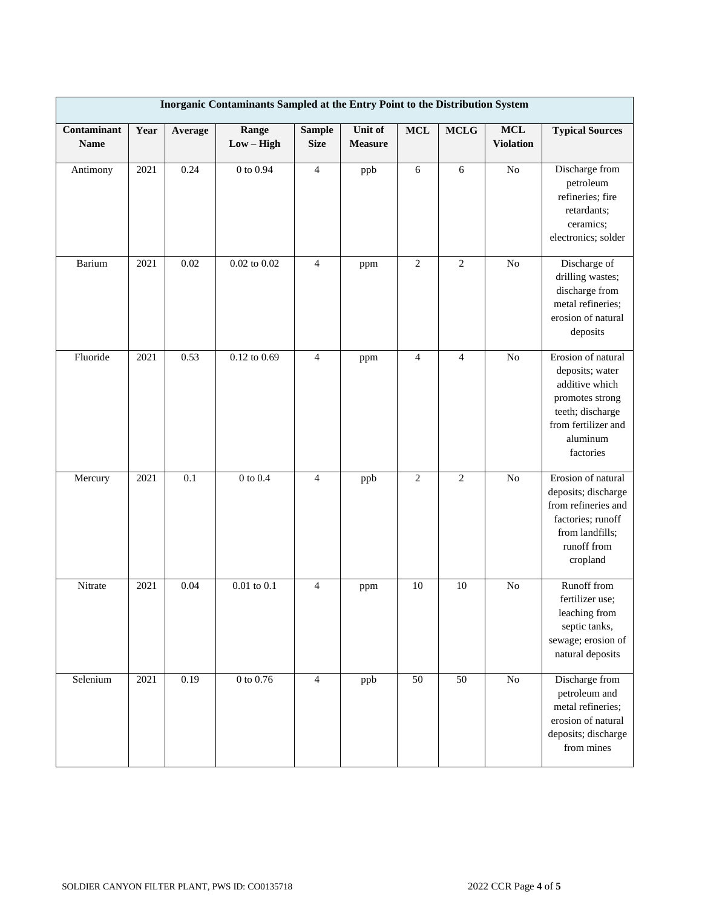| Inorganic Contaminants Sampled at the Entry Point to the Distribution System |      |         |                       |                              |                           |                |                |                                |                                                                                                                                                |
|------------------------------------------------------------------------------|------|---------|-----------------------|------------------------------|---------------------------|----------------|----------------|--------------------------------|------------------------------------------------------------------------------------------------------------------------------------------------|
| Contaminant<br><b>Name</b>                                                   | Year | Average | Range<br>$Low - High$ | <b>Sample</b><br><b>Size</b> | Unit of<br><b>Measure</b> | <b>MCL</b>     | <b>MCLG</b>    | <b>MCL</b><br><b>Violation</b> | <b>Typical Sources</b>                                                                                                                         |
| Antimony                                                                     | 2021 | 0.24    | $0$ to $0.94\,$       | $\overline{4}$               | ppb                       | 6              | 6              | $\overline{No}$                | Discharge from<br>petroleum<br>refineries; fire<br>retardants;<br>ceramics;<br>electronics; solder                                             |
| Barium                                                                       | 2021 | 0.02    | $0.02$ to $0.02$      | $\overline{4}$               | ppm                       | $\mathfrak{2}$ | 2              | N <sub>o</sub>                 | Discharge of<br>drilling wastes;<br>discharge from<br>metal refineries;<br>erosion of natural<br>deposits                                      |
| Fluoride                                                                     | 2021 | 0.53    | 0.12 to 0.69          | $\overline{4}$               | ppm                       | $\overline{4}$ | $\overline{4}$ | No                             | Erosion of natural<br>deposits; water<br>additive which<br>promotes strong<br>teeth; discharge<br>from fertilizer and<br>aluminum<br>factories |
| Mercury                                                                      | 2021 | 0.1     | $0$ to $0.4\,$        | $\overline{4}$               | ppb                       | $\mathfrak{2}$ | $\overline{2}$ | $\rm No$                       | Erosion of natural<br>deposits; discharge<br>from refineries and<br>factories; runoff<br>from landfills;<br>runoff from<br>cropland            |
| Nitrate                                                                      | 2021 | 0.04    | $0.01$ to $0.1\,$     | $\overline{4}$               | ppm                       | 10             | 10             | $\rm No$                       | Runoff from<br>fertilizer use;<br>leaching from<br>septic tanks,<br>sewage; erosion of<br>natural deposits                                     |
| Selenium                                                                     | 2021 | 0.19    | $0$ to $0.76\,$       | $\overline{4}$               | ppb                       | 50             | 50             | $\rm No$                       | Discharge from<br>petroleum and<br>metal refineries;<br>erosion of natural<br>deposits; discharge<br>from mines                                |